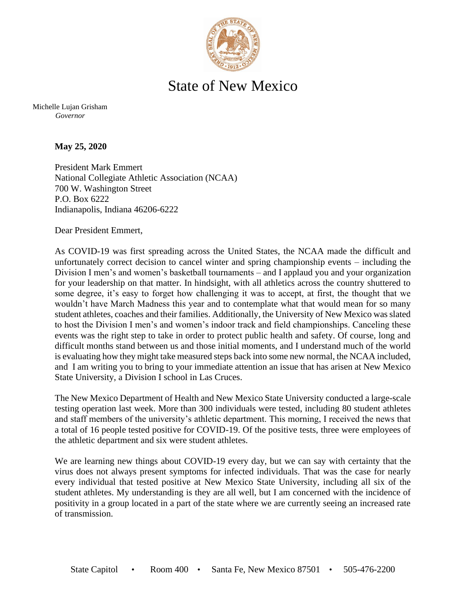

## State of New Mexico

Michelle Lujan Grisham *Governor*

**May 25, 2020**

President Mark Emmert National Collegiate Athletic Association (NCAA) 700 W. Washington Street P.O. Box 6222 Indianapolis, Indiana 46206-6222

Dear President Emmert,

As COVID-19 was first spreading across the United States, the NCAA made the difficult and unfortunately correct decision to cancel winter and spring championship events – including the Division I men's and women's basketball tournaments – and I applaud you and your organization for your leadership on that matter. In hindsight, with all athletics across the country shuttered to some degree, it's easy to forget how challenging it was to accept, at first, the thought that we wouldn't have March Madness this year and to contemplate what that would mean for so many student athletes, coaches and their families. Additionally, the University of New Mexico was slated to host the Division I men's and women's indoor track and field championships. Canceling these events was the right step to take in order to protect public health and safety. Of course, long and difficult months stand between us and those initial moments, and I understand much of the world is evaluating how they might take measured steps back into some new normal, the NCAA included, and I am writing you to bring to your immediate attention an issue that has arisen at New Mexico State University, a Division I school in Las Cruces.

The New Mexico Department of Health and New Mexico State University conducted a large-scale testing operation last week. More than 300 individuals were tested, including 80 student athletes and staff members of the university's athletic department. This morning, I received the news that a total of 16 people tested positive for COVID-19. Of the positive tests, three were employees of the athletic department and six were student athletes.

We are learning new things about COVID-19 every day, but we can say with certainty that the virus does not always present symptoms for infected individuals. That was the case for nearly every individual that tested positive at New Mexico State University, including all six of the student athletes. My understanding is they are all well, but I am concerned with the incidence of positivity in a group located in a part of the state where we are currently seeing an increased rate of transmission.